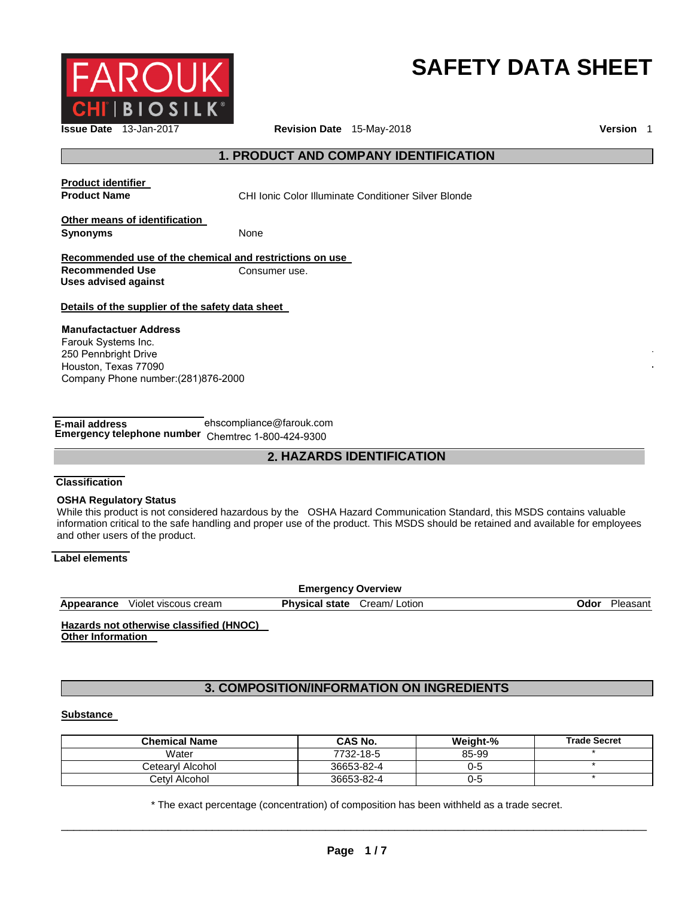

# **SAFETY DATA SHEET**

# **1. PRODUCT AND COMPANY IDENTIFICATION**

**Product identifier** 

**Product Name** CHI Ionic Color Illuminate Conditioner Silver Blonde

**Other means of identification Synonyms** None

**Recommended use of the chemical and restrictions on use** 

**Recommended Use Consumer use. Uses advised against** 

## **Details of the supplier of the safety data sheet**

#### **Manufactactuer Address** Farouk Systems Inc. 250 Pennbright Drive Houston, Texas 77090 Company Phone number:(281)876-2000

| E-mail address                                     | ehscompliance@farouk.com |  |
|----------------------------------------------------|--------------------------|--|
| Emergency telephone number Chemtrec 1-800-424-9300 |                          |  |

# **2. HAZARDS IDENTIFICATION**

#### **Classification**

#### **OSHA Regulatory Status**

While this product is not considered hazardous by the OSHA Hazard Communication Standard, this MSDS contains valuable information critical to the safe handling and proper use of the product. This MSDS should be retained and available for employees and other users of the product.

## **Label elements**

| <b>Emergency Overview</b> |                      |                       |              |      |          |
|---------------------------|----------------------|-----------------------|--------------|------|----------|
| Appearance                | Violet viscous cream | <b>Physical state</b> | Cream/Lotion | Odor | Pleasant |
|                           |                      |                       |              |      |          |

## **Hazards not otherwise classified (HNOC) Other Information**

# **3. COMPOSITION/INFORMATION ON INGREDIENTS**

#### **Substance**

| <b>Chemical Name</b> | <b>CAS No.</b> | Weight-% | <b>Trade Secret</b> |
|----------------------|----------------|----------|---------------------|
| Water                | 7732-18-5      | 85-99    |                     |
| Cetearvl Alcohol     | 36653-82-4     | 0-5      |                     |
| Cetyl Alcohol        | 36653-82-4     | 0-5      |                     |

\_\_\_\_\_\_\_\_\_\_\_\_\_\_\_\_\_\_\_\_\_\_\_\_\_\_\_\_\_\_\_\_\_\_\_\_\_\_\_\_\_\_\_\_\_\_\_\_\_\_\_\_\_\_\_\_\_\_\_\_\_\_\_\_\_\_\_\_\_\_\_\_\_\_\_\_\_\_\_\_\_\_\_\_\_\_\_\_\_\_\_\_\_ \* The exact percentage (concentration) of composition has been withheld as a trade secret.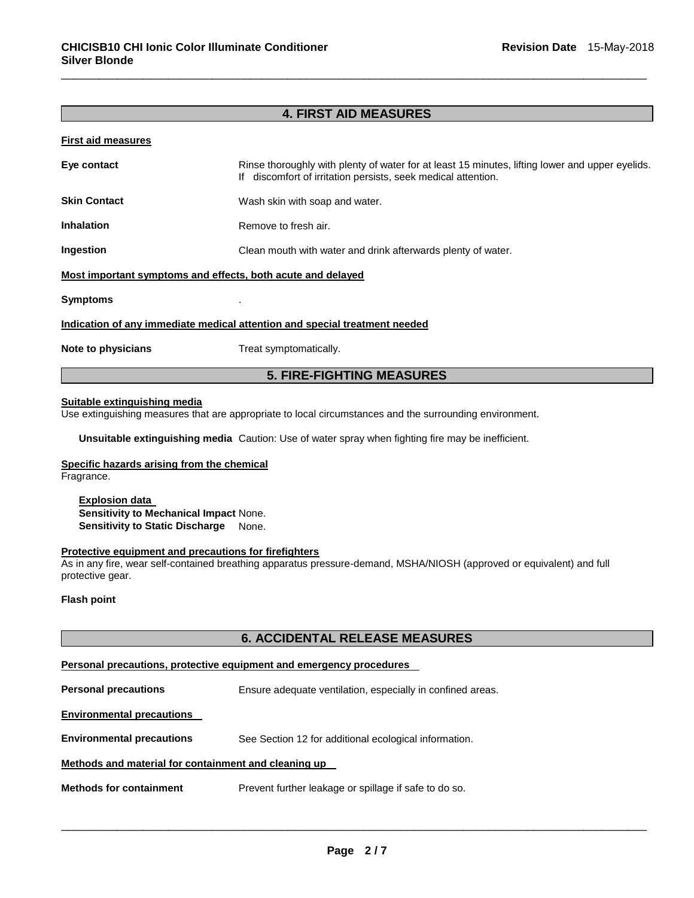# **4. FIRST AID MEASURES**

\_\_\_\_\_\_\_\_\_\_\_\_\_\_\_\_\_\_\_\_\_\_\_\_\_\_\_\_\_\_\_\_\_\_\_\_\_\_\_\_\_\_\_\_\_\_\_\_\_\_\_\_\_\_\_\_\_\_\_\_\_\_\_\_\_\_\_\_\_\_\_\_\_\_\_\_\_\_\_\_\_\_\_\_\_\_\_\_\_\_\_\_\_

#### **First aid measures**

| Eye contact                                                                | Rinse thoroughly with plenty of water for at least 15 minutes, lifting lower and upper eyelids.<br>If discomfort of irritation persists, seek medical attention. |  |
|----------------------------------------------------------------------------|------------------------------------------------------------------------------------------------------------------------------------------------------------------|--|
| <b>Skin Contact</b>                                                        | Wash skin with soap and water.                                                                                                                                   |  |
| <b>Inhalation</b>                                                          | Remove to fresh air.                                                                                                                                             |  |
| Ingestion                                                                  | Clean mouth with water and drink afterwards plenty of water.                                                                                                     |  |
| Most important symptoms and effects, both acute and delayed                |                                                                                                                                                                  |  |
| <b>Symptoms</b>                                                            |                                                                                                                                                                  |  |
| Indication of any immediate medical attention and special treatment needed |                                                                                                                                                                  |  |
| Note to physicians                                                         | Treat symptomatically.                                                                                                                                           |  |
| <b>5. FIRE-FIGHTING MEASURES</b>                                           |                                                                                                                                                                  |  |

## **Suitable extinguishing media**

Use extinguishing measures that are appropriate to local circumstances and the surrounding environment.

**Unsuitable extinguishing media** Caution: Use of water spray when fighting fire may be inefficient.

#### **Specific hazards arising from the chemical**

Fragrance.

**Explosion data Sensitivity to Mechanical Impact** None. **Sensitivity to Static Discharge None.** 

## **Protective equipment and precautions for firefighters**

As in any fire, wear self-contained breathing apparatus pressure-demand, MSHA/NIOSH (approved or equivalent) and full protective gear.

#### **Flash point**

#### **6. ACCIDENTAL RELEASE MEASURES**

#### **Personal precautions, protective equipment and emergency procedures**

**Personal precautions Ensure adequate ventilation, especially in confined areas.** 

#### **Environmental precautions**

**Environmental precautions** See Section 12 for additional ecological information.

#### **Methods and material for containment and cleaning up**

**Methods for containment** Prevent further leakage or spillage if safe to do so.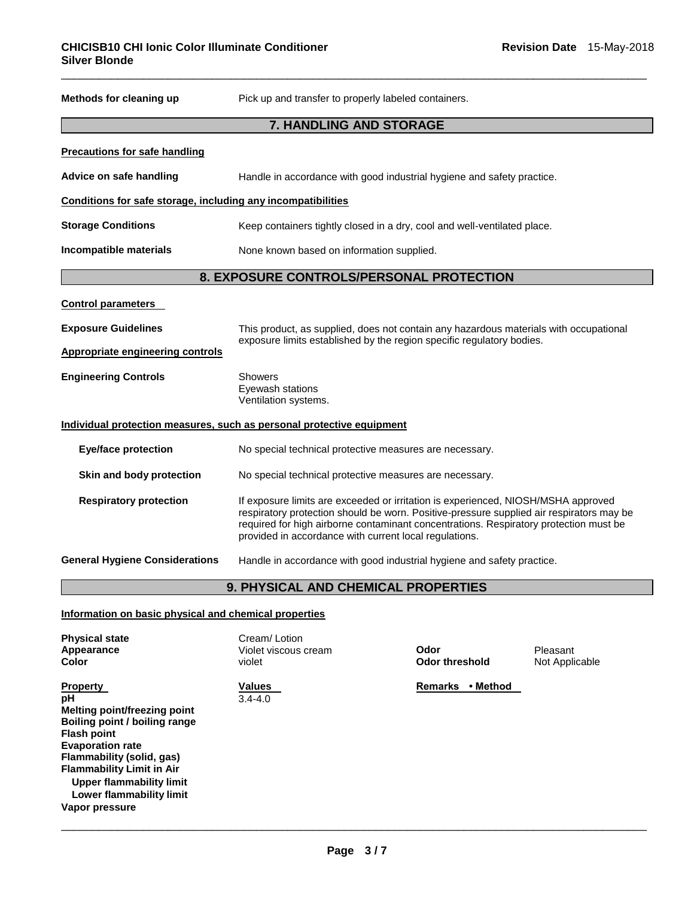| Methods for cleaning up                                               | Pick up and transfer to properly labeled containers.                                                                                                                                                                                                                                                                             |  |
|-----------------------------------------------------------------------|----------------------------------------------------------------------------------------------------------------------------------------------------------------------------------------------------------------------------------------------------------------------------------------------------------------------------------|--|
|                                                                       | 7. HANDLING AND STORAGE                                                                                                                                                                                                                                                                                                          |  |
| <b>Precautions for safe handling</b>                                  |                                                                                                                                                                                                                                                                                                                                  |  |
| Advice on safe handling                                               | Handle in accordance with good industrial hygiene and safety practice.                                                                                                                                                                                                                                                           |  |
| Conditions for safe storage, including any incompatibilities          |                                                                                                                                                                                                                                                                                                                                  |  |
| <b>Storage Conditions</b>                                             | Keep containers tightly closed in a dry, cool and well-ventilated place.                                                                                                                                                                                                                                                         |  |
| Incompatible materials                                                | None known based on information supplied.                                                                                                                                                                                                                                                                                        |  |
|                                                                       | 8. EXPOSURE CONTROLS/PERSONAL PROTECTION                                                                                                                                                                                                                                                                                         |  |
| <b>Control parameters</b>                                             |                                                                                                                                                                                                                                                                                                                                  |  |
| <b>Exposure Guidelines</b>                                            | This product, as supplied, does not contain any hazardous materials with occupational<br>exposure limits established by the region specific regulatory bodies.                                                                                                                                                                   |  |
| <b>Appropriate engineering controls</b>                               |                                                                                                                                                                                                                                                                                                                                  |  |
| <b>Engineering Controls</b>                                           | <b>Showers</b><br>Eyewash stations<br>Ventilation systems.                                                                                                                                                                                                                                                                       |  |
| Individual protection measures, such as personal protective equipment |                                                                                                                                                                                                                                                                                                                                  |  |
| <b>Eye/face protection</b>                                            | No special technical protective measures are necessary.                                                                                                                                                                                                                                                                          |  |
| Skin and body protection                                              | No special technical protective measures are necessary.                                                                                                                                                                                                                                                                          |  |
| <b>Respiratory protection</b>                                         | If exposure limits are exceeded or irritation is experienced, NIOSH/MSHA approved<br>respiratory protection should be worn. Positive-pressure supplied air respirators may be<br>required for high airborne contaminant concentrations. Respiratory protection must be<br>provided in accordance with current local regulations. |  |
| <b>General Hygiene Considerations</b>                                 | Handle in accordance with good industrial hygiene and safety practice.                                                                                                                                                                                                                                                           |  |
| 9. PHYSICAL AND CHEMICAL PROPERTIES                                   |                                                                                                                                                                                                                                                                                                                                  |  |
| $\sim$ $\sim$                                                         |                                                                                                                                                                                                                                                                                                                                  |  |

\_\_\_\_\_\_\_\_\_\_\_\_\_\_\_\_\_\_\_\_\_\_\_\_\_\_\_\_\_\_\_\_\_\_\_\_\_\_\_\_\_\_\_\_\_\_\_\_\_\_\_\_\_\_\_\_\_\_\_\_\_\_\_\_\_\_\_\_\_\_\_\_\_\_\_\_\_\_\_\_\_\_\_\_\_\_\_\_\_\_\_\_\_

**Information on basic physical and chemical properties**

| <b>Physical state</b><br>Appearance<br>Color                                                                                                                                                                                                                                       | Cream/Lotion<br>Violet viscous cream<br>violet | Odor<br><b>Odor threshold</b> | Pleasant<br>Not Applicable |
|------------------------------------------------------------------------------------------------------------------------------------------------------------------------------------------------------------------------------------------------------------------------------------|------------------------------------------------|-------------------------------|----------------------------|
| <b>Property</b><br>pH<br>Melting point/freezing point<br>Boiling point / boiling range<br><b>Flash point</b><br><b>Evaporation rate</b><br>Flammability (solid, gas)<br><b>Flammability Limit in Air</b><br>Upper flammability limit<br>Lower flammability limit<br>Vapor pressure | <b>Values</b><br>$3.4 - 4.0$                   | • Method<br><b>Remarks</b>    |                            |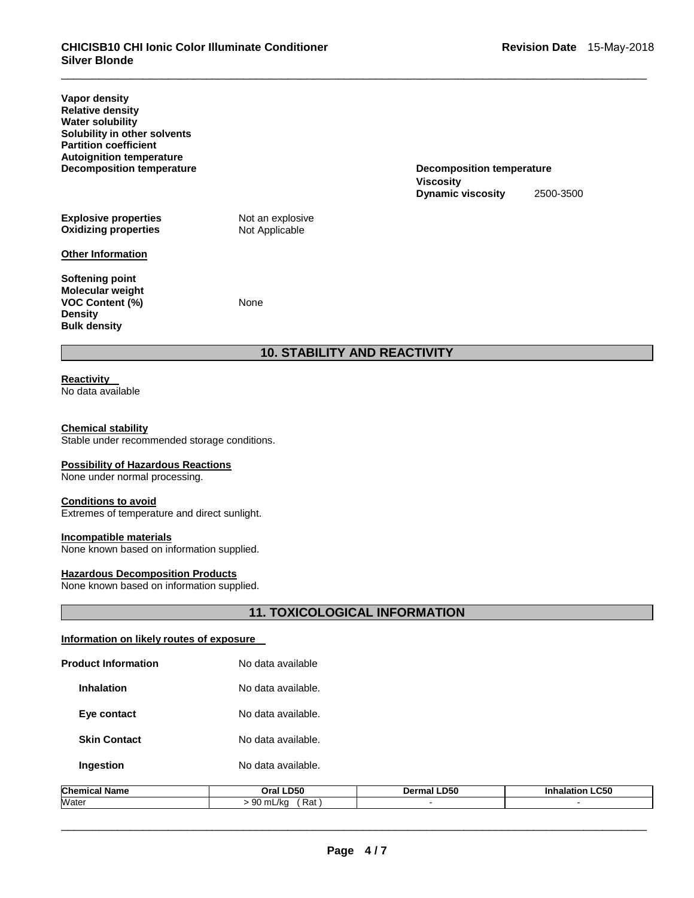**Decomposition temperature** 

**Dynamic viscosity** 2500-3500

**Viscosity** 

**Vapor density Relative density Water solubility Solubility in other solvents Partition coefficient Autoignition temperature Explosive properties Not an explosive Oxidizing properties Not Applicable Oxidizing properties** 

#### **Other Information**

**Softening point Molecular weight VOC Content (%)** None **Density Bulk density** 

# **10. STABILITY AND REACTIVITY**

\_\_\_\_\_\_\_\_\_\_\_\_\_\_\_\_\_\_\_\_\_\_\_\_\_\_\_\_\_\_\_\_\_\_\_\_\_\_\_\_\_\_\_\_\_\_\_\_\_\_\_\_\_\_\_\_\_\_\_\_\_\_\_\_\_\_\_\_\_\_\_\_\_\_\_\_\_\_\_\_\_\_\_\_\_\_\_\_\_\_\_\_\_

#### **Reactivity**  No data available

#### **Chemical stability**

Stable under recommended storage conditions.

#### **Possibility of Hazardous Reactions**

None under normal processing.

#### **Conditions to avoid**

Extremes of temperature and direct sunlight.

#### **Incompatible materials**

None known based on information supplied.

#### **Hazardous Decomposition Products**

None known based on information supplied.

## **11. TOXICOLOGICAL INFORMATION**

## **Information on likely routes of exposure**

| Chamical Namo              | $O(1)$ DEO         |
|----------------------------|--------------------|
| <b>Ingestion</b>           | No data available. |
| <b>Skin Contact</b>        | No data available. |
| Eye contact                | No data available. |
| <b>Inhalation</b>          | No data available. |
| <b>Product Information</b> | No data available  |

| Chemica<br>Name | -D50<br>วraเ                                 | .D50 | $\sim$ ra<br>ucJ.<br>----- |
|-----------------|----------------------------------------------|------|----------------------------|
| Water           | $\sim$<br>Rat<br>mL/ka<br>$\sim$<br>w<br>. . |      |                            |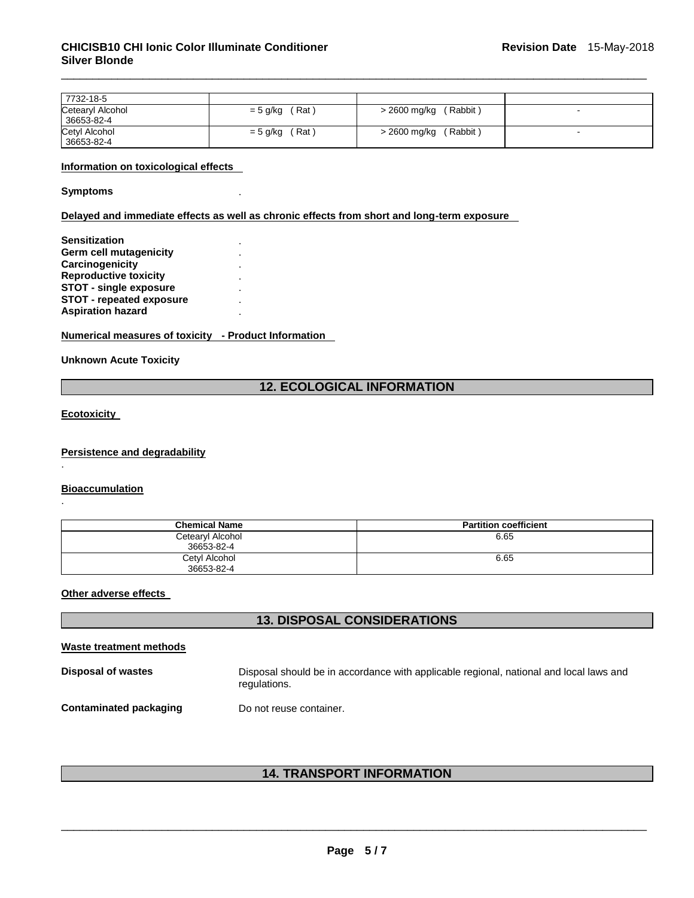| 7732-18-5        |            |              |  |
|------------------|------------|--------------|--|
| Cetearyl Alcohol | (Rat)      | (Rabbit)     |  |
| 36653-82-4       | = 5 g/kg   | > 2600 mg/kg |  |
| Cetyl Alcohol    | (Rat)      | (Rabbit)     |  |
| 36653-82-4       | $= 5$ g/kg | > 2600 mg/kg |  |

\_\_\_\_\_\_\_\_\_\_\_\_\_\_\_\_\_\_\_\_\_\_\_\_\_\_\_\_\_\_\_\_\_\_\_\_\_\_\_\_\_\_\_\_\_\_\_\_\_\_\_\_\_\_\_\_\_\_\_\_\_\_\_\_\_\_\_\_\_\_\_\_\_\_\_\_\_\_\_\_\_\_\_\_\_\_\_\_\_\_\_\_\_

#### **Information on toxicological effects**

**Symptoms** .

**Delayed and immediate effects as well as chronic effects from short and long-term exposure** 

| <b>Sensitization</b>            |  |
|---------------------------------|--|
| Germ cell mutagenicity          |  |
| Carcinogenicity                 |  |
| <b>Reproductive toxicity</b>    |  |
| <b>STOT - single exposure</b>   |  |
| <b>STOT - repeated exposure</b> |  |
| <b>Aspiration hazard</b>        |  |
|                                 |  |

**Numerical measures of toxicity - Product Information** 

**Unknown Acute Toxicity** 

## **12. ECOLOGICAL INFORMATION**

**Ecotoxicity** 

.

.

**Persistence and degradability**

**Bioaccumulation**

| <b>Chemical Name</b>           | <b>Partition coefficient</b> |
|--------------------------------|------------------------------|
| Cetearyl Alcohol<br>36653-82-4 | 6.65                         |
| Cetyl Alcohol<br>36653-82-4    | 6.65                         |

**Other adverse effects** 

# **13. DISPOSAL CONSIDERATIONS**

**Waste treatment methods**

**Disposal of wastes** Disposal should be in accordance with applicable regional, national and local laws and regulations.

**Contaminated packaging by Do not reuse container.** 

**14. TRANSPORT INFORMATION**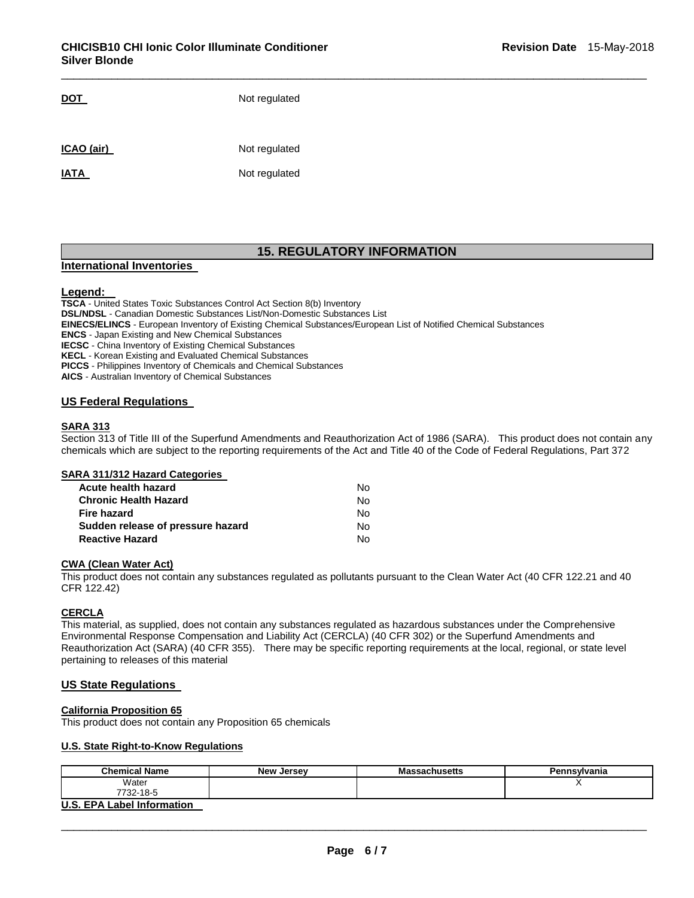| DOT         | Not regulated |
|-------------|---------------|
| ICAO (air)  | Not regulated |
| <b>IATA</b> | Not regulated |

# **15. REGULATORY INFORMATION**

\_\_\_\_\_\_\_\_\_\_\_\_\_\_\_\_\_\_\_\_\_\_\_\_\_\_\_\_\_\_\_\_\_\_\_\_\_\_\_\_\_\_\_\_\_\_\_\_\_\_\_\_\_\_\_\_\_\_\_\_\_\_\_\_\_\_\_\_\_\_\_\_\_\_\_\_\_\_\_\_\_\_\_\_\_\_\_\_\_\_\_\_\_

#### **International Inventories**

#### **Legend:**

**TSCA** - United States Toxic Substances Control Act Section 8(b) Inventory **DSL/NDSL** - Canadian Domestic Substances List/Non-Domestic Substances List **EINECS/ELINCS** - European Inventory of Existing Chemical Substances/European List of Notified Chemical Substances **ENCS** - Japan Existing and New Chemical Substances **IECSC** - China Inventory of Existing Chemical Substances **KECL** - Korean Existing and Evaluated Chemical Substances **PICCS** - Philippines Inventory of Chemicals and Chemical Substances **AICS** - Australian Inventory of Chemical Substances

#### **US Federal Regulations**

#### **SARA 313**

Section 313 of Title III of the Superfund Amendments and Reauthorization Act of 1986 (SARA). This product does not contain any chemicals which are subject to the reporting requirements of the Act and Title 40 of the Code of Federal Regulations, Part 372

### **SARA 311/312 Hazard Categories**

| Acute health hazard               | No. |
|-----------------------------------|-----|
| <b>Chronic Health Hazard</b>      | No. |
| Fire hazard                       | No. |
| Sudden release of pressure hazard | No. |
| <b>Reactive Hazard</b>            | No. |

#### **CWA (Clean Water Act)**

This product does not contain any substances regulated as pollutants pursuant to the Clean Water Act (40 CFR 122.21 and 40 CFR 122.42)

## **CERCLA**

This material, as supplied, does not contain any substances regulated as hazardous substances under the Comprehensive Environmental Response Compensation and Liability Act (CERCLA) (40 CFR 302) or the Superfund Amendments and Reauthorization Act (SARA) (40 CFR 355). There may be specific reporting requirements at the local, regional, or state level pertaining to releases of this material

#### **US State Regulations**

#### **California Proposition 65**

This product does not contain any Proposition 65 chemicals

## **U.S. State Right-to-Know Regulations**

| <b>Chemical Name</b>              | New Jersey | <b>Massachusetts</b> | Pennsylvania |
|-----------------------------------|------------|----------------------|--------------|
| Water                             |            |                      |              |
| 7732-18-5                         |            |                      |              |
| <b>U.S. EPA Label Information</b> |            |                      |              |